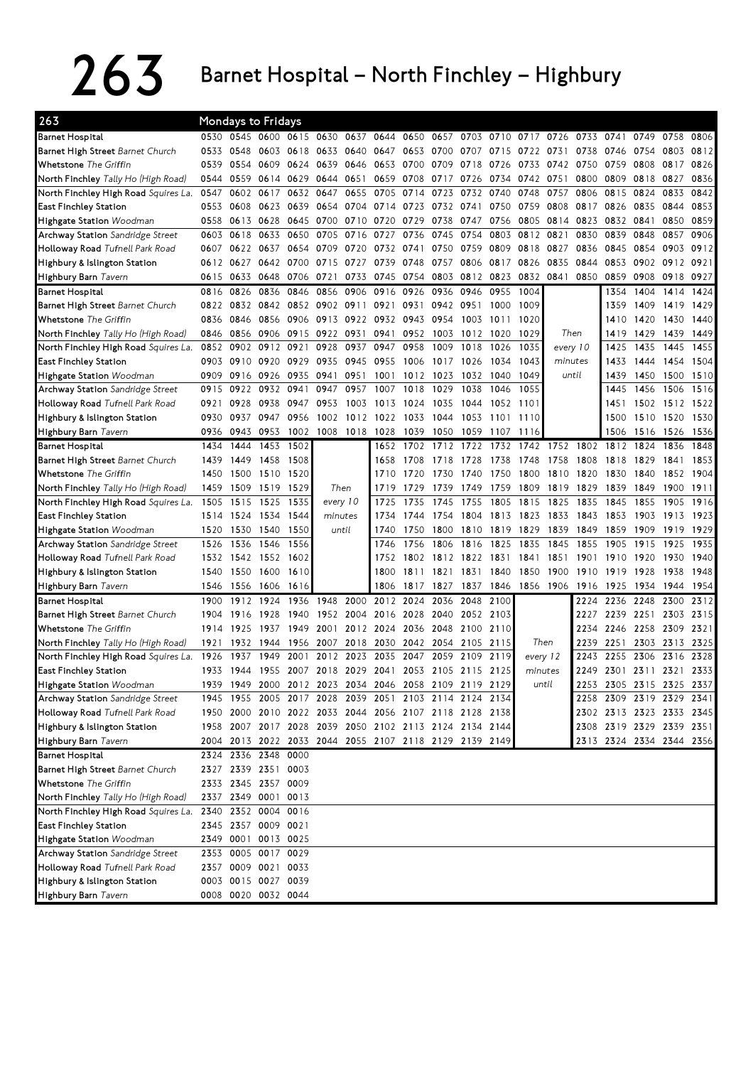## $263$  Barnet Hospital – North Finchley – Highbury

| 263                                                      |      | <b>Mondays to Fridays</b> |                     |           |                |                |                                                        |           |           |      |           |                          |          |       |                          |           |                |      |
|----------------------------------------------------------|------|---------------------------|---------------------|-----------|----------------|----------------|--------------------------------------------------------|-----------|-----------|------|-----------|--------------------------|----------|-------|--------------------------|-----------|----------------|------|
| Barnet Hospital                                          |      | 0530 0545 0600            |                     | 0615 0630 |                |                | 0637 0644                                              | 0650      | 0657      | 0703 | 0710      | 0717                     | 0726     | 0733  | 0741                     | 0749      | 0758           | 0806 |
| Barnet High Street Barnet Church                         | 0533 | 0548                      | 0603                | 0618      | 0633           | 0640           | 0647                                                   | 0653 0700 |           | 0707 | 0715      | 0722                     | 0731     | 0738  | 0746                     | 0754      | 0803           | 0812 |
| Whetstone The Griffin                                    | 0539 | 0554                      | 0609                | 0624      | 0639           | 0646           | 0653                                                   | 0700      | 0709      | 0718 | 0726      | 0733                     | 0742     | 0750  | 0759                     | 0808      | 0817           | 0826 |
| North Finchley Tally Ho (High Road)                      | 0544 | 0559                      | 0614                | 0629      | 0644           | 0651           | 0659                                                   | 0708      | 0717      | 0726 | 0734      | 0742                     | 0751     | 0800  | 0809                     | 0818      | 0827           | 0836 |
| <b>North Finchley High Road</b> Squires La.              | 0547 | 0602                      | 0617                | 0632      | 0647           | 0655           | 0705                                                   | 0714      | 0723      | 0732 | 0740      | 0748                     | 0757     | 0806  | 0815                     | 0824      | 0833           | 0842 |
| East Finchley Station                                    | 0553 | 0608                      | 0623                | 0639      |                | 0654 0704      | 0714 0723 0732                                         |           |           | 0741 | 0750      | 0759                     | 0808     | 0817  | 0826                     | 0835 0844 |                | 0853 |
| <b>Highgate Station</b> Woodman                          | 0558 | 0613                      | 0628                | 0645      |                | 0700 0710      | 0720                                                   | 0729      | 0738      |      | 0747 0756 | 0805                     | 0814     | 0823  | 0832                     | 0841      | 0850           | 0859 |
| Archway Station Sandridge Street                         | 0603 | 0618                      | 0633                | 0650      | 0705           | 0716           | 0727                                                   | 0736      | 0745      | 0754 | 0803      | 0812                     | 0821     | 0830  | 0839                     | 0848      | 0857           | 0906 |
| <b>Holloway Road</b> Tufnell Park Road                   | 0607 | 0622                      | 0637                | 0654      | 0709           | 0720           | 0732                                                   | 0741      | 0750      | 0759 | 0809      | 0818                     | 0827     | 0836  | 0845                     | 0854      | 0903           | 0912 |
| Highbury & Islington Station                             | 0612 | 0627                      | 0642                | 0700      | 0715           | 0727           | 0739                                                   | 0748      | 0757      | 0806 | 0817      | 0826                     | 0835     | 0844  | 0853                     | 0902 0912 |                | 0921 |
| Highbury Barn Tavern                                     | 0615 | 0633                      | 0648                | 0706      | 0721           | 0733           | 0745                                                   | 0754      | 0803      |      | 0812 0823 | 0832                     | 0841     | 0850  | 0859                     | 0908      | 0918           | 0927 |
| Barnet Hospital                                          | 0816 | 0826                      | 0836                | 0846      | 0856           | 0906           | 0916                                                   | 0926      | 0936      | 0946 | 0955      | 1004                     |          |       | 1354                     | 1404      | 1414           | 1424 |
| <b>Barnet High Street</b> Barnet Church                  | 0822 | 0832 0842                 |                     |           | 0852 0902 0911 |                | 0921                                                   | 0931      | 0942      | 0951 | 1000      | 1009                     |          |       | 1359                     | 1409      | 1419           | 1429 |
| <b>Whetstone</b> The Griffin                             | 0836 | 0846                      | 0856                | 0906      |                | 0913 0922      |                                                        | 0932 0943 | 0954      | 1003 | 1011      | 1020                     |          |       | 1410                     | 1420      | 1430           | 1440 |
| North Finchley <i>Tally Ho (High Road)</i>               | 0846 | 0856                      | 0906                | 0915      | 0922 0931      |                | 0941                                                   | 0952      | 1003      |      | 1012 1020 | 1029                     | Then     |       | 1419                     | 1429      | 1439           | 1449 |
| North Finchley High Road <i>Squires La.</i>              | 0852 | 0902                      | 0912                | 0921      | 0928           | 0937           | 0947                                                   | 0958      | 1009      | 1018 | 1026      | 1035                     | every 10 |       | 1425                     | 1435      | 1445           | 1455 |
| East Finchley Station                                    | 0903 | 0910                      | 0920                | 0929      | 0935           | 0945           | 0955                                                   | 1006      | 1017      | 1026 | 1034      | 1043                     | minutes  |       | 1433                     | 1444      | 1454           | 1504 |
| Highgate Station Woodman                                 | 0909 | 0916                      | 0926                | 0935      | 0941           | 0951           | 1001                                                   | 1012      | 1023      | 1032 | 1040      | 1049                     |          | until | 1439                     | 1450      | 1500           | 1510 |
| Archway Station Sandridge Street                         | 0915 | 0922                      | 0932                | 0941      | 0947           | 0957           | 1007                                                   | 1018      | 1029      | 1038 | 1046      | 1055                     |          |       | 1445                     | 1456      | 1506           | 1516 |
| Holloway Road Tufnell Park Road                          | 0921 | 0928                      | 0938                | 0947      | 0953           | 1003           | 1013                                                   | 1024      | 1035      | 1044 | 1052      | 1101                     |          |       | 1451                     |           | 1502 1512 1522 |      |
| Highbury & Islington Station                             | 0930 | 0937                      | 0947                | 0956      | 1002           | 1012           | 1022                                                   | 1033      | 1044      | 1053 | 1101      | 1110                     |          |       | 1500                     | 1510 1520 |                | 1530 |
| Highbury Barn Tavern                                     | 0936 | 0943                      | 0953                | 1002      |                | 1008 1018 1028 |                                                        | 1039      | 1050      | 1059 | 1107      | 1116                     |          |       | 1506                     | 1516 1526 |                | 1536 |
| Barnet Hospital                                          | 1434 | 1444                      |                     | 1453 1502 |                |                | 1652                                                   | 1702      | 1712      | 1722 | 1732      | 1742                     | 1752     | 1802  | 1812                     | 1824      | 1836           | 1848 |
| Barnet High Street Barnet Church                         | 1439 | 1449                      | 1458                | 1508      |                |                | 1658                                                   | 1708      | 1718      | 1728 | 1738      | 1748                     | 1758     | 1808  | 1818                     | 1829      | 1841           | 1853 |
| Whetstone The Griffin                                    | 1450 | 1500                      | 1510                | 1520      |                |                | 1710                                                   | 1720      | 1730      | 1740 | 1750      | 1800                     | 1810     | 1820  | 1830                     | 1840      | 1852           | 1904 |
| <b>North Finchley</b> Tally Ho (High Road)               | 1459 | 1509                      | 1519                | 1529      | Then           |                | 1719                                                   | 1729      | 1739      | 1749 | 1759      | 1809                     | 1819     | 1829  | 1839                     | 1849      | 1900           | 1911 |
| <b>North Finchley High Road</b> Squires La.              | 1505 | 1515                      | 1525                | 1535      | every 10       |                | 1725                                                   | 1735      | 1745      | 1755 | 1805      | 1815                     | 1825     | 1835  | 1845                     | 1855      | 1905           | 1916 |
| East Finchley Station                                    | 1514 | 1524                      | 1534                | 1544      | minutes        |                | 1734                                                   | 1744      | 1754      | 1804 | 1813      | 1823                     | 1833     | 1843  | 1853                     | 1903      | 1913           | 1923 |
| <b>Highgate Station</b> Woodman                          | 1520 | 1530                      | 1540                | 1550      |                | until          | 1740                                                   | 1750      | 1800      | 1810 | 1819      | 1829                     | 1839     | 1849  | 1859                     | 1909      | 1919           | 1929 |
| Archway Station Sandridge Street                         | 1526 | 1536                      | 1546                | 1556      |                |                | 1746                                                   | 1756      | 1806      | 1816 | 1825      | 1835                     | 1845     | 1855  | 1905                     | 1915      | 1925           | 1935 |
| Holloway Road Tufnell Park Road                          | 1532 |                           | 1542 1552           | 1602      |                |                | 1752                                                   | 1802      | 1812      | 1822 | 1831      | 1841                     | 1851     | 1901  | 1910                     | 1920      | 1930           | 1940 |
| Highbury & Islington Station                             | 1540 | 1550                      | 1600                | 1610      |                |                | 1800                                                   | 1811      | 1821      | 1831 | 1840      | 1850                     | 1900     | 1910  | 1919                     | 1928      | 1938           | 1948 |
| Highbury Barn Tavern                                     | 1546 | 1556 1606                 |                     | 1616      |                |                | 1806                                                   | 1817      | 1827      |      |           | 1837 1846 1856 1906 1916 |          |       | 1925                     | 1934 1944 |                | 1954 |
| Barnet Hospital                                          | 1900 | 1912                      | 1924                | 1936      | 1948           | 2000           | 2012                                                   | 2024      | 2036      |      | 2048 2100 |                          |          | 2224  | 2236                     | 2248      | 2300           | 2312 |
| Barnet High Street Barnet Church                         | 1904 | 1916                      | 1928                | 1940      |                | 1952 2004      | 2016                                                   | 2028 2040 |           |      | 2052 2103 |                          |          | 2227  | 2239                     | 2251      | 2303           | 2315 |
| Whetstone The Griffin                                    | 1914 | 1925                      | 1937                | 1949      | 2001           | 2012           | 2024                                                   |           | 2036 2048 | 2100 | 2110      |                          |          | 2234  | 2246                     | 2258 2309 |                | 2321 |
| North Finchley Tally Ho (High Road)                      | 1921 | 1932                      | 1944                | 1956      | 2007           | 2018           | 2030                                                   | 2042      | 2054      | 2105 | 2115      |                          | Then     | 2239  | 2251                     | 2303 2313 |                | 2325 |
| North Finchley High Road <i>Squires La.</i>              | 1926 | 1937                      | 1949                | 2001      | 2012           | 2023           | 2035                                                   | 2047      | 2059      | 2109 | 2119      | every 12                 |          | 2243  | 2255                     | 2306      | 2316           | 2328 |
| East Finchley Station                                    |      | 1933 1944                 | 1955 2007 2018 2029 |           |                |                | 2041 2053 2105 2115 2125                               |           |           |      |           | minutes                  |          | 2249  | 2301 2311 2321           |           |                | 2333 |
| <b>Highgate Station</b> Woodman                          |      |                           |                     |           |                |                | 1939 1949 2000 2012 2023 2034 2046 2058 2109 2119 2129 |           |           |      |           |                          | until    |       | 2253 2305 2315 2325 2337 |           |                |      |
| Archway Station Sandridge Street                         |      |                           |                     |           |                |                | 1945 1955 2005 2017 2028 2039 2051 2103 2114 2124 2134 |           |           |      |           |                          |          |       | 2258 2309 2319 2329 2341 |           |                |      |
| <b>Holloway Road</b> Tufnell Park Road                   |      |                           |                     |           |                |                | 1950 2000 2010 2022 2033 2044 2056 2107 2118 2128 2138 |           |           |      |           |                          |          |       | 2302 2313 2323 2333 2345 |           |                |      |
| Highbury & Islington Station                             |      |                           |                     |           |                |                | 1958 2007 2017 2028 2039 2050 2102 2113 2124 2134 2144 |           |           |      |           |                          |          |       | 2308 2319 2329 2339 2351 |           |                |      |
| Highbury Barn Tavern                                     |      |                           |                     |           |                |                | 2004 2013 2022 2033 2044 2055 2107 2118 2129 2139 2149 |           |           |      |           |                          |          |       | 2313 2324 2334 2344 2356 |           |                |      |
| Barnet Hospital                                          |      | 2324 2336 2348 0000       |                     |           |                |                |                                                        |           |           |      |           |                          |          |       |                          |           |                |      |
| Barnet High Street Barnet Church                         |      | 2327 2339 2351 0003       |                     |           |                |                |                                                        |           |           |      |           |                          |          |       |                          |           |                |      |
| Whetstone The Griffin                                    |      | 2333 2345 2357 0009       |                     |           |                |                |                                                        |           |           |      |           |                          |          |       |                          |           |                |      |
| North Finchley <i>Tally Ho (High Road)</i>               |      | 2337 2349 0001 0013       |                     |           |                |                |                                                        |           |           |      |           |                          |          |       |                          |           |                |      |
|                                                          |      |                           |                     |           |                |                |                                                        |           |           |      |           |                          |          |       |                          |           |                |      |
| North Finchley High Road Squires La. 2340 2352 0004 0016 |      |                           |                     |           |                |                |                                                        |           |           |      |           |                          |          |       |                          |           |                |      |
| East Finchley Station                                    |      | 2345 2357 0009 0021       |                     |           |                |                |                                                        |           |           |      |           |                          |          |       |                          |           |                |      |
| Highgate Station Woodman                                 |      | 2349 0001 0013 0025       |                     |           |                |                |                                                        |           |           |      |           |                          |          |       |                          |           |                |      |
| Archway Station Sandridge Street                         |      | 2353 0005 0017 0029       |                     |           |                |                |                                                        |           |           |      |           |                          |          |       |                          |           |                |      |
| Holloway Road Tufnell Park Road                          |      | 2357 0009 0021 0033       |                     |           |                |                |                                                        |           |           |      |           |                          |          |       |                          |           |                |      |
| Highbury & Islington Station                             |      | 0003 0015 0027 0039       |                     |           |                |                |                                                        |           |           |      |           |                          |          |       |                          |           |                |      |
| Highbury Barn Tavern                                     |      | 0008 0020 0032 0044       |                     |           |                |                |                                                        |           |           |      |           |                          |          |       |                          |           |                |      |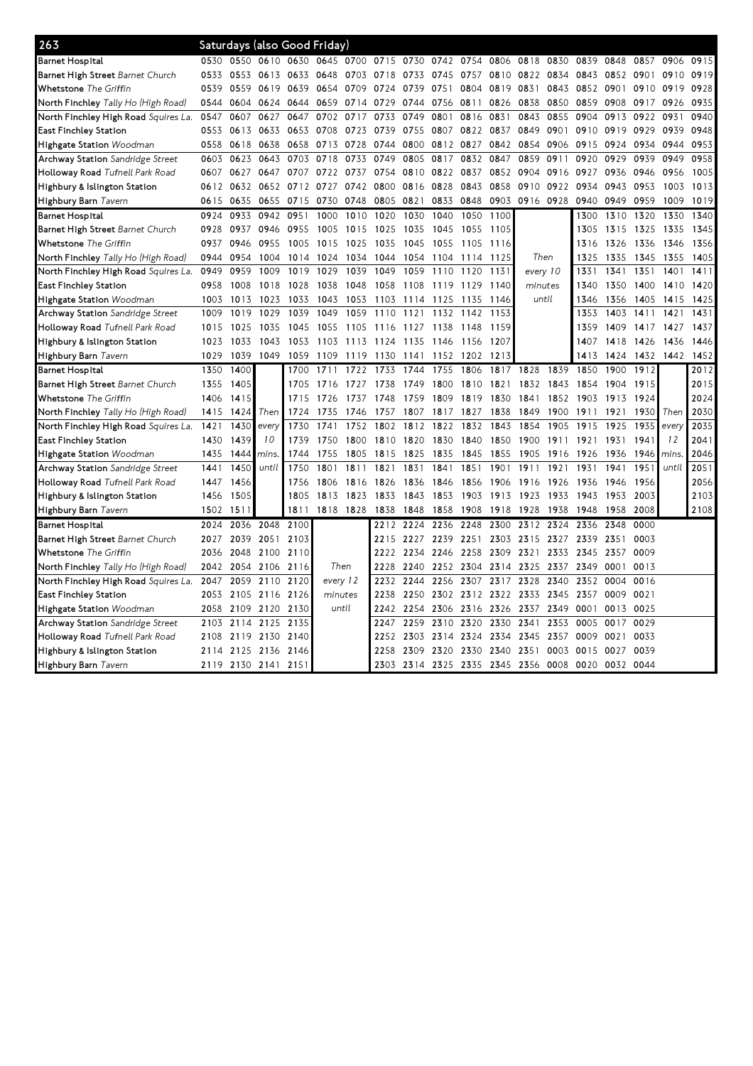| 263                                        |      |      | Saturdays (also Good Friday) |      |          |           |                                    |           |      |                |      |           |           |                                                   |           |      |       |      |
|--------------------------------------------|------|------|------------------------------|------|----------|-----------|------------------------------------|-----------|------|----------------|------|-----------|-----------|---------------------------------------------------|-----------|------|-------|------|
| Barnet Hospital                            | 0530 |      | 0550 0610 0630               |      |          |           | 0645 0700 0715 0730 0742 0754 0806 |           |      |                |      | 0818      | 0830      | 0839                                              | 0848      | 0857 | 0906  | 0915 |
| Barnet High Street Barnet Church           | 0533 | 0553 | 0613 0633                    |      | 0648     | 0703      | 0718                               | 0733      | 0745 | 0757           | 0810 | 0822      | 0834      | 0843                                              | 0852 0901 |      | 0910  | 0919 |
| Whetstone The Griffin                      | 0539 | 0559 | 0619 0639                    |      | 0654     | 0709      | 0724                               | 0739      | 0751 | 0804           | 0819 | 0831      | 0843      | 0852                                              | 0901      | 0910 | 0919  | 0928 |
| North Finchley <i>Tally Ho (High Road)</i> | 0544 | 0604 | 0624                         | 0644 | 0659     | 0714      | 0729                               | 0744      | 0756 | 0811           | 0826 | 0838      | 0850      | 0859                                              | 0908      | 0917 | 0926  | 0935 |
| North Finchley High Road Squires La.       | 0547 | 0607 | 0627                         | 0647 | 0702     | 0717      | 0733                               | 0749      | 0801 | 0816           | 0831 | 0843      | 0855      | 0904                                              | 0913      | 0922 | 0931  | 0940 |
| East Finchley Station                      | 0553 | 0613 | 0633                         | 0653 | 0708     | 0723      | 0739                               | 0755      | 0807 | 0822           | 0837 | 0849      | 0901      | 0910                                              | 0919      | 0929 | 0939  | 0948 |
| Highgate Station Woodman                   | 0558 | 0618 | 0638                         | 0658 | 0713     | 0728      | 0744                               | 0800      | 0812 | 0827           | 0842 | 0854      | 0906      | 0915                                              | 0924      | 0934 | 0944  | 0953 |
| Archway Station Sandridge Street           | 0603 | 0623 | 0643                         | 0703 | 0718     | 0733      | 0749                               | 0805      | 0817 | 0832           | 0847 | 0859      | 0911      | 0920                                              | 0929      | 0939 | 0949  | 0958 |
| Holloway Road Tufnell Park Road            | 0607 | 0627 | 0647                         | 0707 | 0722     | 0737      | 0754                               | 0810 0822 |      | 0837           | 0852 | 0904      | 0916      | 0927                                              | 0936      | 0946 | 0956  | 1005 |
| Highbury & Islington Station               | 0612 | 0632 | 0652 0712                    |      | 0727     | 0742      | 0800                               | 0816      | 0828 | 0843           | 0858 | 0910      | 0922      | 0934                                              | 0943      | 0953 | 1003  | 1013 |
| Highbury Barn Tavern                       | 0615 | 0635 | 0655                         | 0715 | 0730     | 0748      | 0805                               | 0821      | 0833 | 0848           | 0903 | 0916 0928 |           | 0940                                              | 0949      | 0959 | 1009  | 1019 |
| <b>Barnet Hospital</b>                     | 0924 | 0933 | 0942                         | 0951 | 1000     | 1010      | 1020                               | 1030      | 1040 | 1050           | 1100 |           |           | 1300                                              | 1310      | 1320 | 1330  | 1340 |
| Barnet High Street Barnet Church           | 0928 | 0937 | 0946                         | 0955 | 1005     | 1015      | 1025                               | 1035      | 1045 | 1055           | 1105 |           |           | 1305                                              | 1315      | 1325 | 1335  | 1345 |
| Whetstone The Griffin                      | 0937 | 0946 | 0955                         | 1005 | 1015     | 1025      | 1035                               | 1045      | 1055 | 1105           | 1116 |           |           | 1316                                              | 1326      | 1336 | 1346  | 1356 |
| <b>North Finchley</b> Tally Ho (High Road) | 0944 | 0954 | 1004                         | 1014 | 1024     | 1034      | 1044                               | 1054      | 1104 | 1114           | 1125 |           | Then      | 1325                                              | 1335      | 1345 | 1355  | 1405 |
| North Finchley High Road Squires La.       | 0949 | 0959 | 1009                         | 1019 | 1029     | 1039      | 1049                               | 1059      | 1110 | 1120           | 1131 | every 10  |           | 1331                                              | 1341      | 1351 | 1401  | 1411 |
| East Finchley Station                      | 0958 | 1008 | 1018                         | 1028 | 1038     | 1048      | 1058                               | 1108      | 1119 | 1129           | 1140 | minutes   |           | 1340                                              | 1350      | 1400 | 1410  | 1420 |
| <b>Highgate Station</b> Woodman            | 1003 | 1013 | 1023                         | 1033 | 1043     | 1053      | 1103                               | 1114      | 1125 | 1135           | 1146 |           | until     | 1346                                              | 1356      | 1405 | 1415  | 1425 |
| Archway Station Sandridge Street           | 1009 | 1019 | 1029                         | 1039 | 1049     | 1059      | 1110                               | 1121      | 1132 | 1142           | 1153 |           |           | 1353                                              | 1403      | 1411 | 1421  | 1431 |
| Holloway Road Tufnell Park Road            | 1015 | 1025 | 1035                         | 1045 | 1055     | 1105      | 1116                               | 1127      | 1138 | 1148           | 1159 |           |           | 1359                                              | 1409      | 1417 | 1427  | 1437 |
| Highbury & Islington Station               | 1023 | 1033 | 1043                         | 1053 | 1103     | 1113      | 1124                               | 1135      | 1146 | 1156           | 1207 |           |           | 1407                                              | 1418      | 1426 | 1436  | 1446 |
| Highbury Barn Tavern                       | 1029 | 1039 | 1049                         | 1059 | 1109     | 1119      | 1130                               | 1141      | 1152 | 1202           | 1213 |           |           | 1413                                              | 1424      | 1432 | 1442  | 1452 |
| <b>Barnet Hospital</b>                     | 1350 | 1400 |                              | 1700 | 1711     | 1722      | 1733                               | 1744      | 1755 | 1806           | 1817 | 1828      | 1839      | 1850                                              | 1900      | 1912 |       | 2012 |
| Barnet High Street Barnet Church           | 1355 | 1405 |                              | 1705 | 1716     | 1727      | 1738                               | 1749      | 1800 | 1810           | 1821 | 1832      | 1843      | 1854                                              | 1904      | 1915 |       | 2015 |
| Whetstone The Griffin                      | 1406 | 1415 |                              | 1715 | 1726     | 1737      | 1748                               | 1759      | 1809 | 1819           | 1830 | 1841      | 1852      | 1903                                              | 1913      | 1924 |       | 2024 |
| <b>North Finchley</b> Tally Ho (High Road) | 1415 | 1424 | Then                         | 1724 | 1735     | 1746      | 1757                               | 1807      | 1817 | 1827           | 1838 | 1849      | 1900      | 1911                                              | 1921      | 1930 | Then  | 2030 |
| North Finchley High Road Squires La.       | 1421 | 1430 | every                        | 1730 | 1741     | 1752      | 1802                               | 1812      | 1822 | 1832           | 1843 | 1854      | 1905      | 1915                                              | 1925      | 1935 | every | 2035 |
| East Finchley Station                      | 1430 | 1439 | 10                           | 1739 | 1750     | 1800      | 1810                               | 1820      | 1830 | 1840           | 1850 | 1900      | 1911      | 1921                                              | 1931      | 1941 | 12    | 2041 |
| <b>Highgate Station</b> Woodman            | 1435 | 1444 | mins.                        | 1744 | 1755     | 1805      | 1815                               | 1825      | 1835 | 1845           | 1855 | 1905      | 1916      | 1926                                              | 1936      | 1946 | mins. | 2046 |
| <b>Archway Station</b> Sandridge Street    | 1441 | 1450 | until                        | 1750 | 1801     | 1811      | 1821                               | 1831      | 1841 | 1851           | 1901 | 1911      | 1921      | 1931                                              | 1941      | 1951 | until | 2051 |
| Holloway Road Tufnell Park Road            | 1447 | 1456 |                              | 1756 | 1806     | 1816      | 1826                               | 1836      | 1846 | 1856           | 1906 | 1916      | 1926      | 1936                                              | 1946      | 1956 |       | 2056 |
| Highbury & Islington Station               | 1456 | 1505 |                              | 1805 | 1813     | 1823      | 1833                               | 1843      | 1853 | 1903           | 1913 | 1923      | 1933      | 1943                                              | 1953      | 2003 |       | 2103 |
| Highbury Barn Tavern                       | 1502 | 151  |                              | 1811 |          | 1818 1828 | 1838                               | 1848      | 1858 | 1908           | 1918 | 1928      | 1938      | 1948                                              | 1958      | 2008 |       | 2108 |
| Barnet Hospital                            | 2024 | 2036 | 2048                         | 2100 |          |           | 2212                               | 2224      | 2236 | 2248           | 2300 | 2312      | 2324      | 2336                                              | 2348      | 0000 |       |      |
| Barnet High Street Barnet Church           | 2027 | 2039 | 2051                         | 2103 |          |           | 2215                               | 2227      | 2239 | 2251           | 2303 | 2315      | 2327      | 2339                                              | 2351      | 0003 |       |      |
| Whetstone The Griffin                      | 2036 | 2048 | 2100 2110                    |      |          |           | 2222                               | 2234      | 2246 | 2258           | 2309 | 2321      | 2333      | 2345                                              | 2357 0009 |      |       |      |
| <b>North Finchley</b> Tally Ho (High Road) | 2042 | 2054 | 2106 2116                    |      | Then     |           | 2228                               | 2240      |      | 2252 2304      | 2314 | 2325      | 2337      | 2349                                              | 0001      | 0013 |       |      |
| North Finchley High Road Squires La.       | 2047 | 2059 | 2110                         | 2120 | every 12 |           | 2232                               | 2244      | 2256 | 2307           | 2317 | 2328      | 2340      | 2352                                              | 0004      | 0016 |       |      |
| East Finchley Station                      | 2053 | 2105 | 2116 2126                    |      | minutes  |           | 2238                               | 2250      | 2302 | 2312 2322 2333 |      |           | 2345      | 2357                                              | 0009      | 0021 |       |      |
| Highgate Station Woodman                   | 2058 | 2109 | 2120                         | 2130 | until    |           | 2242                               | 2254      | 2306 | 2316           | 2326 | 2337      | 2349      | 0001                                              | 0013 0025 |      |       |      |
| Archway Station Sandridge Street           | 2103 | 2114 | 2125                         | 2135 |          |           | 2247                               | 2259      | 2310 | 2320           | 2330 | 2341      | 2353      | 0005                                              | 0017      | 0029 |       |      |
| Holloway Road Tufnell Park Road            | 2108 | 2119 | 2130 2140                    |      |          |           | 2252                               | 2303      | 2314 | 2324           | 2334 |           | 2345 2357 | 0009                                              | 0021      | 0033 |       |      |
| Highbury & Islington Station               | 2114 | 2125 | 2136                         | 2146 |          |           | 2258                               | 2309      | 2320 | 2330           | 2340 | 2351      | 0003      | 0015                                              | 0027      | 0039 |       |      |
| Highbury Barn Tavern                       | 2119 |      | 2130 2141 2151               |      |          |           |                                    |           |      |                |      |           |           | 2303 2314 2325 2335 2345 2356 0008 0020 0032 0044 |           |      |       |      |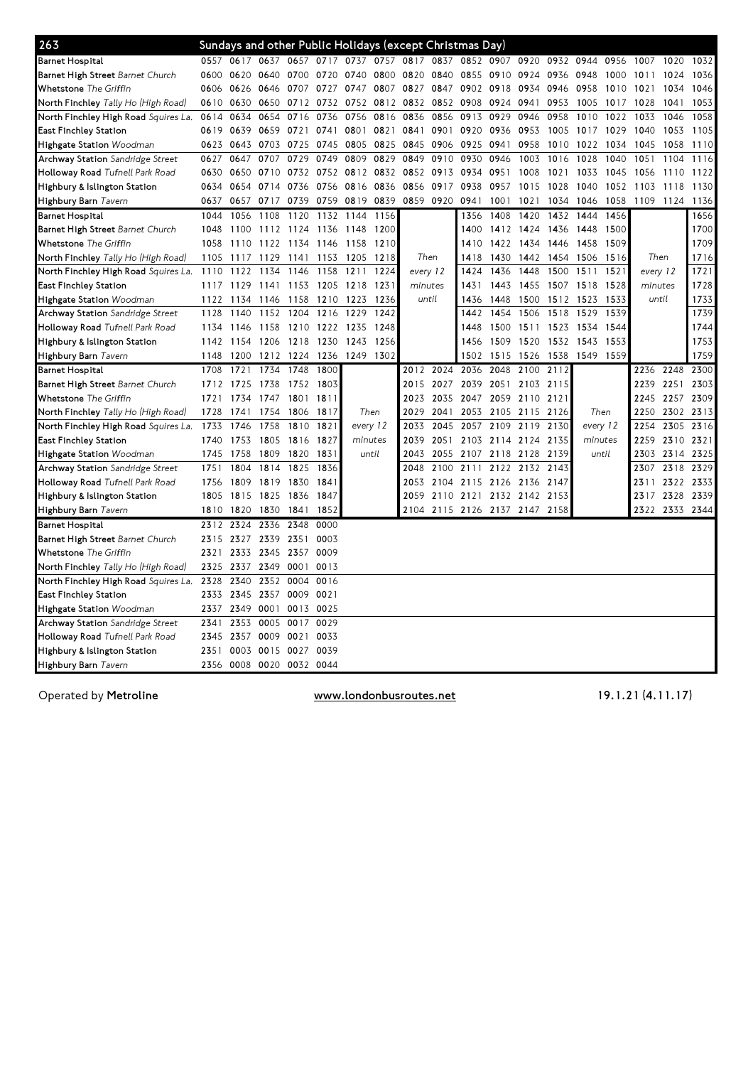| 263                                  |      |           |                |                |      | Sundays and other Public Holidays (except Christmas Day) |       |           |           |                     |                |                               |           |          |      |           |           |      |
|--------------------------------------|------|-----------|----------------|----------------|------|----------------------------------------------------------|-------|-----------|-----------|---------------------|----------------|-------------------------------|-----------|----------|------|-----------|-----------|------|
| <b>Barnet Hospital</b>               |      | 0557 0617 |                |                |      | 0637 0657 0717 0737 0757 0817                            |       |           | 0837      |                     |                | 0852 0907 0920                | 0932 0944 |          | 0956 | 1007 1020 |           | 1032 |
| Barnet High Street Barnet Church     | 0600 | 0620      | 0640 0700      |                | 0720 | 0740                                                     | 0800  | 0820 0840 |           | 0855                | 0910           | 0924                          | 0936      | 0948     | 1000 | 1011      | 1024      | 1036 |
| Whetstone The Griffin                | 0606 | 0626      |                | 0646 0707      | 0727 | 0747                                                     | 0807  | 0827 0847 |           |                     | 0902 0918      | 0934                          | 0946      | 0958     | 1010 | 1021      | 1034      | 1046 |
| North Finchley Tally Ho (High Road)  | 0610 | 0630      |                | 0650 0712      |      | 0732 0752                                                | 0812  |           | 0832 0852 | 0908                | 0924           | 0941                          | 0953      | 1005     | 1017 | 1028      | 1041      | 1053 |
| North Finchley High Road Squires La. | 0614 | 0634      | 0654           | 0716           | 0736 | 0756                                                     | 0816  | 0836      | 0856      | 0913                | 0929           | 0946                          | 0958      | 1010     | 1022 | 1033      | 1046      | 1058 |
| East Finchley Station                | 0619 | 0639      |                | 0659 0721      | 0741 | 0801                                                     | 0821  | 0841      | 0901      | 0920                | 0936           | 0953                          | 1005      | 1017     | 1029 | 1040      | 1053      | 1105 |
| Highgate Station Woodman             | 0623 | 0643      | 0703 0725      |                | 0745 | 0805 0825                                                |       | 0845 0906 |           | 0925                | 0941           | 0958                          | 1010      | 1022     | 1034 | 1045      | 1058      | 1110 |
| Archway Station Sandridge Street     | 0627 | 0647      | 0707           | 0729           | 0749 | 0809                                                     | 0829  | 0849      | 0910      | 0930                | 0946           | 1003                          | 1016      | 1028     | 1040 | 1051      | 1104      | 1116 |
| Holloway Road Tufnell Park Road      | 0630 | 0650      | 0710 0732      |                |      | 0752 0812 0832                                           |       |           | 0852 0913 | 0934                | 0951           | 1008                          | 1021      | 1033     | 1045 | 1056      | 1110      | 1122 |
| Highbury & Islington Station         | 0634 | 0654      |                | 0714 0736      | 0756 | 0816                                                     | 0836  | 0856 0917 |           | 0938                | 0957           | 1015                          | 1028      | 1040     | 1052 | 1103      | 1118      | 1130 |
| Highbury Barn Tavern                 | 0637 | 0657      | 0717           | 0739           | 0759 | 0819                                                     | 0839  | 0859 0920 |           | 0941                | 1001           | 1021                          | 1034      | 1046     | 1058 | 1109      | 1124      | 1136 |
| <b>Barnet Hospital</b>               | 1044 | 1056      | 1108           | 1120           | 1132 | 1144                                                     | 1156  |           |           | 1356                | 1408           | 1420                          | 1432      | 1444     | 1456 |           |           | 1656 |
| Barnet High Street Barnet Church     | 1048 | 1100      |                | 1112 1124      | 1136 | 1148                                                     | 1200  |           |           | 1400                | 1412           | 1424                          | 1436      | 1448     | 1500 |           |           | 1700 |
| Whetstone The Griffin                | 1058 | 1110      | 1122           | 1134           | 1146 | 1158                                                     | 1210  |           |           | 1410                | 1422           | 1434                          | 1446      | 1458     | 1509 |           |           | 1709 |
| North Finchley Tally Ho (High Road)  | 1105 | 1117      | 1129           | 1141           | 1153 | 1205                                                     | 1218  | Then      |           | 1418                | 1430           | 1442                          | 1454 1506 |          | 1516 |           | Then      | 1716 |
| North Finchley High Road Squires La. | 1110 | 1122      | 1134           | 1146           | 1158 | 1211                                                     | 1224  | every 12  |           | 1424                | 1436           | 1448                          | 1500      | 1511     | 1521 | every 12  |           | 1721 |
| East Finchley Station                | 1117 | 1129      | 1141           | 1153           | 1205 | 1218                                                     | 1231  | minutes   |           | 1431                | 1443           | 1455                          | 1507      | 1518     | 1528 | minutes   |           | 1728 |
| Highgate Station Woodman             | 1122 | 1134      | 1146           | 1158           | 1210 | 1223                                                     | -1236 | until     |           | 1436                | 1448           | 1500                          | 1512 1523 |          | 1533 |           | until     | 1733 |
| Archway Station Sandridge Street     | 1128 | 1140      |                | 1152 1204      | 1216 | 1229                                                     | 1242  |           |           | 1442                | 1454           | 1506                          | 1518      | 1529     | 1539 |           |           | 1739 |
| Holloway Road Tufnell Park Road      | 1134 | 1146      |                | 1158 1210      | 1222 | 1235                                                     | 1248  |           |           | 1448                | 1500           | 1511                          | 1523      | 1534     | 1544 |           |           | 1744 |
| Highbury & Islington Station         | 1142 | 1154      | 1206 1218      |                | 1230 | 1243                                                     | 1256  |           |           | 1456                |                | 1509 1520                     | 1532 1543 |          | 1553 |           |           | 1753 |
| Highbury Barn Tavern                 | 1148 | 1200      |                | 1212 1224      | 1236 | 1249                                                     | 1302  |           |           | 1502                | 1515           | 1526                          | 1538      | 1549     | 1559 |           |           | 1759 |
| <b>Barnet Hospital</b>               | 1708 | 1721      | 1734           | 1748           | 1800 |                                                          |       | 2012      | 2024      | 2036                | 2048           | 2100                          | 2112      |          |      | 2236      | 2248      | 2300 |
| Barnet High Street Barnet Church     | 1712 | 1725      | 1738 1752      |                | 1803 |                                                          |       | 2015 2027 |           | 2039                | 2051 2103      |                               | 2115      |          |      | 2239      | 2251      | 2303 |
| Whetstone The Griffin                | 1721 | 1734      | 1747           | 1801           | 1811 |                                                          |       | 2023      | 2035      | 2047                | 2059           | 2110                          | 2121      |          |      | 2245      | 2257      | 2309 |
| North Finchley Tally Ho (High Road)  | 1728 | 1741      | 1754           | 1806           | 1817 | Then                                                     |       | 2029      | 2041      | 2053                |                | 2105 2115 2126                |           | Then     |      | 2250      | 2302 2313 |      |
| North Finchley High Road Squires La. | 1733 | 1746      | 1758           | 1810           | 1821 | every 12                                                 |       | 2033      | 2045      | 2057                | 2109           | 2119                          | 2130      | every 12 |      | 2254      | 2305      | 2316 |
| <b>East Finchley Station</b>         | 1740 | 1753      | 1805           | 1816           | 1827 | minutes                                                  |       | 2039      | 2051      | 2103                | 2114           | 2124                          | 2135      | minutes  |      | 2259      | 2310      | 2321 |
| Highgate Station Woodman             | 1745 | 1758      | 1809           | 1820           | 1831 | until                                                    |       | 2043      | 2055      |                     | 2107 2118 2128 |                               | 2139      | until    |      | 2303      | 2314      | 2325 |
| Archway Station Sandridge Street     | 1751 | 1804      | 1814           | 1825           | 1836 |                                                          |       | 2048      | 2100      | 2111                |                | 2122 2132                     | 2143      |          |      | 2307      | 2318      | 2329 |
| Holloway Road Tufnell Park Road      | 1756 | 1809      |                | 1819 1830      | 1841 |                                                          |       | 2053      |           | 2104 2115 2126 2136 |                |                               | 2147      |          |      | 2311      | 2322      | 2333 |
| Highbury & Islington Station         | 1805 | 1815      | 1825 1836      |                | 1847 |                                                          |       | 2059      |           | 2110 2121 2132 2142 |                |                               | 2153      |          |      | 2317      | 2328      | 2339 |
| Highbury Barn Tavern                 | 1810 | 1820      | 1830           | 1841           | 1852 |                                                          |       |           |           |                     |                | 2104 2115 2126 2137 2147 2158 |           |          |      | 2322      | 2333 2344 |      |
| <b>Barnet Hospital</b>               | 2312 | 2324      | 2336           | 2348           | 0000 |                                                          |       |           |           |                     |                |                               |           |          |      |           |           |      |
| Barnet High Street Barnet Church     | 2315 |           | 2327 2339 2351 |                | 0003 |                                                          |       |           |           |                     |                |                               |           |          |      |           |           |      |
| Whetstone The Griffin                | 2321 | 2333      | 2345 2357      |                | 0009 |                                                          |       |           |           |                     |                |                               |           |          |      |           |           |      |
| North Finchley Tally Ho (High Road)  | 2325 | 2337      | 2349 0001      |                | 0013 |                                                          |       |           |           |                     |                |                               |           |          |      |           |           |      |
| North Finchley High Road Squires La. | 2328 | 2340      | 2352           | 0004           | 0016 |                                                          |       |           |           |                     |                |                               |           |          |      |           |           |      |
| <b>East Finchley Station</b>         | 2333 | 2345      | 2357 0009      |                | 0021 |                                                          |       |           |           |                     |                |                               |           |          |      |           |           |      |
| Highgate Station Woodman             | 2337 | 2349      | 0001           | 0013           | 0025 |                                                          |       |           |           |                     |                |                               |           |          |      |           |           |      |
| Archway Station Sandridge Street     | 2341 | 2353      | 0005           | 0017           | 0029 |                                                          |       |           |           |                     |                |                               |           |          |      |           |           |      |
| Holloway Road Tufnell Park Road      | 2345 | 2357      |                | 0009 0021      | 0033 |                                                          |       |           |           |                     |                |                               |           |          |      |           |           |      |
| Highbury & Islington Station         | 2351 | 0003      | 0015 0027      |                | 0039 |                                                          |       |           |           |                     |                |                               |           |          |      |           |           |      |
| Highbury Barn Tavern                 | 2356 | 0008      |                | 0020 0032 0044 |      |                                                          |       |           |           |                     |                |                               |           |          |      |           |           |      |

Operated by Metroline **Exercise 2.1.22 Constant** Metroline www.londonbusroutes.net 19.1.21 (4.11.17)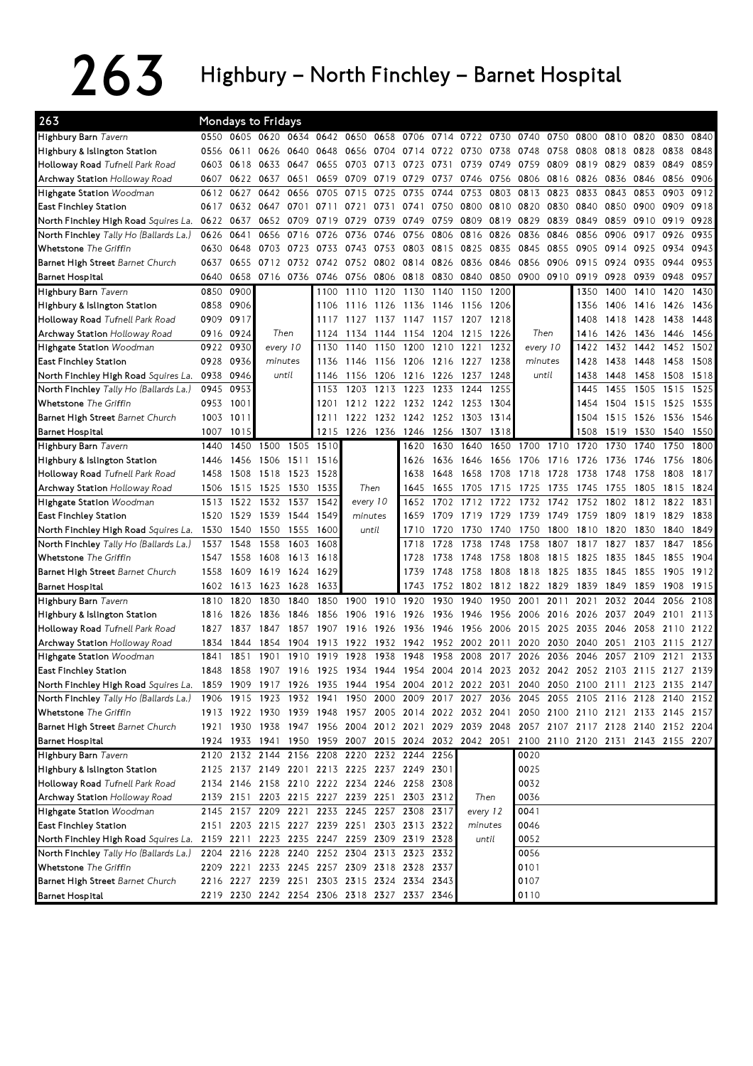## $263$  Highbury – North Finchley – Barnet Hospital

| 263                                                                               |      |      | <b>Mondays to Fridays</b> |                |           |          |      |                                              |        |                                                        |           |          |       |      |      |                                                                                           |      |      |
|-----------------------------------------------------------------------------------|------|------|---------------------------|----------------|-----------|----------|------|----------------------------------------------|--------|--------------------------------------------------------|-----------|----------|-------|------|------|-------------------------------------------------------------------------------------------|------|------|
| Highbury Barn Tavern                                                              | 0550 | 0605 | 0620                      |                | 0634 0642 | 0650     | 0658 | 0706                                         | 0714   | 0722                                                   | 0730      | 0740     | 0750  | 0800 | 0810 | 0820                                                                                      | 0830 | 0840 |
| Highbury & Islington Station                                                      | 0556 | 0611 | 0626                      | 0640           | 0648      | 0656     | 0704 | 0714                                         | 0722   | 0730                                                   | 0738      | 0748     | 0758  | 0808 | 0818 | 0828                                                                                      | 0838 | 0848 |
| Holloway Road Tufnell Park Road                                                   | 0603 | 0618 | 0633                      | 0647           | 0655      | 0703     | 0713 | 0723                                         | 0731   | 0739                                                   | 0749      | 0759     | 0809  | 0819 | 0829 | 0839                                                                                      | 0849 | 0859 |
| <b>Archway Station</b> Holloway Road                                              | 0607 | 0622 | 0637                      | 0651           | 0659      | 0709     | 0719 | 0729                                         | 0737   | 0746                                                   | 0756      | 0806     | 0816  | 0826 | 0836 | 0846                                                                                      | 0856 | 0906 |
| Highgate Station Woodman                                                          | 0612 | 0627 | 0642                      | 0656           | 0705      | 0715     | 0725 | 0735                                         | 0744   | 0753                                                   | 0803      | 0813     | 0823  | 0833 | 0843 | 0853                                                                                      | 0903 | 0912 |
| East Finchley Station                                                             | 0617 |      | 0632 0647                 | 0701           | 0711      | 0721     | 0731 | 0741                                         | 0750   | 0800                                                   | 0810 0820 |          | 0830  | 0840 | 0850 | 0900                                                                                      | 0909 | 0918 |
| North Finchley High Road Squires La.                                              | 0622 | 0637 | 0652                      | 0709           | 0719      | 0729     | 0739 | 0749                                         | 0759   | 0809                                                   | 0819      | 0829     | 0839  | 0849 | 0859 | 0910                                                                                      | 0919 | 0928 |
| North Finchley Tally Ho (Ballards La.)                                            | 0626 | 0641 | 0656                      | 0716           | 0726      | 0736     | 0746 | 0756                                         | 0806   | 0816                                                   | 0826      | 0836     | 0846  | 0856 | 0906 | 0917                                                                                      | 0926 | 0935 |
| <b>Whetstone</b> The Griffin                                                      | 0630 | 0648 | 0703                      | 0723           | 0733      | 0743     | 0753 | 0803                                         | 0815   | 0825                                                   | 0835      | 0845     | 0855  | 0905 | 0914 | 0925                                                                                      | 0934 | 0943 |
| Barnet High Street Barnet Church                                                  | 0637 | 0655 | 0712                      | 0732           | 0742      | 0752     | 0802 | 0814                                         | 0826   | 0836                                                   | 0846      | 0856     | 0906  | 0915 | 0924 | 0935                                                                                      | 0944 | 0953 |
| <b>Barnet Hospital</b>                                                            | 0640 | 0658 | 0716 0736                 |                | 0746      | 0756     | 0806 | 0818                                         | 0830   | 0840                                                   | 0850      | 0900     | 0910  | 0919 | 0928 | 0939                                                                                      | 0948 | 0957 |
| Highbury Barn Tavern                                                              | 0850 | 0900 |                           |                | 1100      | 1110     | 1120 | 1130                                         | 1140   | 1150                                                   | 1200      |          |       | 1350 | 1400 | 1410                                                                                      | 1420 | 1430 |
| Highbury & Islington Station                                                      | 0858 | 0906 |                           |                | 1106      | 1116     | 1126 | 1136                                         | 1146   | 1156                                                   | 1206      |          |       | 1356 | 1406 | 1416                                                                                      | 1426 | 1436 |
| Holloway Road Tufnell Park Road                                                   | 0909 | 0917 |                           |                | 1117      | 1127     | 1137 | 1147                                         | - 1157 | 1207 1218                                              |           |          |       | 1408 | 1418 | 1428                                                                                      | 1438 | 1448 |
| Archway Station Holloway Road                                                     | 0916 | 0924 | Then                      |                | 1124      | 1134     | 1144 | 1154                                         | 1204   | 1215                                                   | 1226      | Then     |       | 1416 | 1426 | 1436                                                                                      | 1446 | 1456 |
| Highgate Station Woodman                                                          | 0922 | 0930 | every 10                  |                | 1130      | 1140     | 1150 | 1200                                         | 1210   | 1221                                                   | 1232      | every 10 |       | 1422 | 1432 | 1442                                                                                      | 1452 | 1502 |
| East Finchley Station                                                             | 0928 | 0936 | minutes                   |                | 1136      | 1146     | 1156 | 1206                                         | 1216   | 1227                                                   | 1238      | minutes  |       | 1428 | 1438 | 1448                                                                                      | 1458 | 1508 |
| North Finchley High Road Squires La.                                              | 0938 | 0946 | until                     |                | 1146      | 1156     | 1206 | 1216                                         | 1226   | 1237                                                   | 1248      |          | until | 1438 | 1448 | 1458                                                                                      | 1508 | 1518 |
| North Finchley Tally Ho (Ballards La.)                                            | 0945 | 0953 |                           |                | 1153      | 1203     | 1213 | 1223                                         | 1233   | 1244                                                   | 1255      |          |       | 1445 | 1455 | 1505                                                                                      | 1515 | 1525 |
| Whetstone The Griffin                                                             | 0953 | 1001 |                           |                | 1201      | 1212     | 1222 | 1232 1242                                    |        | 1253                                                   | 1304      |          |       | 1454 | 1504 | 1515                                                                                      | 1525 | 1535 |
| Barnet High Street Barnet Church                                                  | 1003 | 1011 |                           |                | 1211      | 1222     |      | 1232 1242 1252                               |        | 1303                                                   | 1314      |          |       | 1504 | 1515 | 1526                                                                                      | 1536 | 1546 |
| <b>Barnet Hospital</b>                                                            | 1007 | 1015 |                           |                | 1215      | 1226     | 1236 | 1246                                         | 1256   | 1307                                                   | 1318      |          |       | 1508 | 1519 | 1530                                                                                      | 1540 | 1550 |
| Highbury Barn Tavern                                                              | 1440 | 1450 | 1500                      | 1505           | 1510      |          |      | 1620                                         | 1630   | 1640                                                   | 1650      | 1700     | 1710  | 1720 | 1730 | 1740                                                                                      | 1750 | 1800 |
| Highbury & Islington Station                                                      | 1446 | 1456 | 1506                      | 1511           | 1516      |          |      | 1626                                         | 1636   | 1646                                                   | 1656      | 1706     | 1716  | 1726 | 1736 | 1746                                                                                      | 1756 | 1806 |
| Holloway Road Tufnell Park Road                                                   | 1458 | 1508 | 1518                      | 1523           | 1528      |          |      | 1638                                         | 1648   | 1658                                                   | 1708      | 1718     | 1728  | 1738 | 1748 | 1758                                                                                      | 1808 | 1817 |
| Archway Station Holloway Road                                                     | 1506 | 1515 | 1525                      | 1530           | 1535      | Then     |      | 1645                                         | 1655   | 1705                                                   | 1715      | 1725     | 1735  | 1745 | 1755 | 1805                                                                                      | 1815 | 1824 |
| <b>Highgate Station Woodman</b>                                                   | 1513 | 1522 | 1532                      | 1537           | 1542      | every 10 |      | 1652                                         | 1702   | 1712                                                   | 1722      | 1732     | 1742  | 1752 | 1802 | 1812                                                                                      | 1822 | 1831 |
| <b>East Finchley Station</b>                                                      | 1520 | 1529 | 1539                      | 1544           | 1549      | minutes  |      | 1659                                         | 1709   | 1719                                                   | 1729      | 1739     | 1749  | 1759 | 1809 | 1819                                                                                      | 1829 | 1838 |
| North Finchley High Road Squires La.                                              | 1530 | 1540 | 1550                      | 1555           | 1600      | until    |      | 1710                                         | 1720   | 1730                                                   | 1740      | 1750     | 1800  | 1810 | 1820 | 1830                                                                                      | 1840 | 1849 |
| North Finchley Tally Ho (Ballards La.)                                            | 1537 | 1548 | 1558                      | 1603           | 1608      |          |      | 1718                                         | 1728   | 1738                                                   | 1748      | 1758     | 1807  | 1817 | 1827 | 1837                                                                                      | 1847 | 1856 |
| Whetstone The Griffin                                                             | 1547 | 1558 | 1608                      | 1613           | 1618      |          |      | 1728                                         | 1738   | 1748                                                   | 1758      | 1808     | 1815  | 1825 | 1835 | 1845                                                                                      | 1855 | 1904 |
| Barnet High Street Barnet Church                                                  | 1558 | 1609 | 1619                      | 1624           | 1629      |          |      | 1739                                         | 1748   | 1758                                                   | 1808      | 1818     | 1825  | 1835 | 1845 | 1855                                                                                      | 1905 | 1912 |
| Barnet Hospital                                                                   | 1602 | 1613 | 1623                      | 1628           | 1633      |          |      | 1743                                         | 1752   | 1802                                                   | 1812      | 1822     | 1829  | 1839 | 1849 | 1859                                                                                      | 1908 | 1915 |
| Highbury Barn Tavern                                                              | 1810 | 1820 | 1830                      | 1840           | 1850      | 1900     | 1910 | 1920                                         | 1930   | 1940                                                   | 1950      | 2001     | 2011  | 2021 | 2032 | 2044                                                                                      | 2056 | 2108 |
| Highbury & Islington Station                                                      | 1816 | 1826 | 1836                      | 1846           | 1856      | 1906     | 1916 | 1926                                         | 1936   | 1946                                                   | 1956      | 2006     | 2016  | 2026 | 2037 | 2049                                                                                      | 2101 | 2113 |
| Holloway Road Tufnell Park Road                                                   | 1827 | 1837 | 1847                      | 1857           | 1907      | 1916     | 1926 | 1936                                         | 1946   | 1956                                                   | 2006      | 2015     | 2025  | 2035 | 2046 | 2058                                                                                      | 2110 | 2122 |
| Archway Station Holloway Road                                                     | 1834 | 1844 | 1854                      | 1904           | 1913      | 1922     | 1932 | 1942                                         | 1952   | 2002                                                   | 2011      | 2020     | 2030  | 2040 | 2051 | 2103                                                                                      | 2115 | 2127 |
| Highgate Station Woodman                                                          | 1841 | 1851 | 1901                      | 1910           | 1919      | 1928     | 1938 | 1948                                         | 1958   | 2008                                                   | 2017      | 2026     | 2036  | 2046 | 2057 | 2109                                                                                      | 2121 | 2133 |
| <b>East Finchley Station</b>                                                      | 1848 | 1858 | 1907                      | 1916 1925 1934 |           |          |      | 1944 1954 2004                               |        |                                                        |           |          |       |      |      | 2014 2023 2032 2042 2052 2103 2115 2127 2139                                              |      |      |
| North Finchley High Road Squires La.                                              |      |      |                           |                |           |          |      |                                              |        |                                                        |           |          |       |      |      | 1859 1909 1917 1926 1935 1944 1954 2004 2012 2022 2031 2040 2050 2100 2111 2123 2135 2147 |      |      |
| North Finchley Tally Ho (Ballards La.)                                            | 1906 |      |                           |                |           |          |      |                                              |        |                                                        |           |          |       |      |      | 1915 1923 1932 1941 1950 2000 2009 2017 2027 2036 2045 2055 2105 2116 2128 2140 2152      |      |      |
| <b>Whetstone</b> The Griffin                                                      |      |      |                           |                |           |          |      |                                              |        | 1913 1922 1930 1939 1948 1957 2005 2014 2022 2032 2041 |           |          |       |      |      | 2050 2100 2110 2121 2133 2145 2157                                                        |      |      |
| Barnet High Street Barnet Church                                                  |      |      |                           |                |           |          |      |                                              |        |                                                        |           |          |       |      |      | 1921 1930 1938 1947 1956 2004 2012 2021 2029 2039 2048 2057 2107 2117 2128 2140 2152 2204 |      |      |
| Barnet Hospital                                                                   |      |      |                           |                |           |          |      |                                              |        |                                                        |           |          |       |      |      | 1924 1933 1941 1950 1959 2007 2015 2024 2032 2042 2051 2100 2110 2120 2131 2143 2155 2207 |      |      |
| Highbury Barn Tavern                                                              |      |      |                           |                |           |          |      | 2120 2132 2144 2156 2208 2220 2232 2244 2256 |        |                                                        |           | 0020     |       |      |      |                                                                                           |      |      |
| Highbury & Islington Station                                                      |      |      |                           |                |           |          |      | 2125 2137 2149 2201 2213 2225 2237 2249 2301 |        |                                                        |           | 0025     |       |      |      |                                                                                           |      |      |
| Holloway Road Tufnell Park Road                                                   |      |      |                           |                |           |          |      | 2134 2146 2158 2210 2222 2234 2246 2258 2308 |        |                                                        |           | 0032     |       |      |      |                                                                                           |      |      |
| Archway Station Holloway Road                                                     |      |      |                           |                |           |          |      | 2139 2151 2203 2215 2227 2239 2251 2303 2312 |        |                                                        | Then      | 0036     |       |      |      |                                                                                           |      |      |
| Highgate Station Woodman                                                          |      |      |                           |                |           |          |      | 2145 2157 2209 2221 2233 2245 2257 2308 2317 |        |                                                        | every 12  | 0041     |       |      |      |                                                                                           |      |      |
| East Finchley Station                                                             |      |      |                           |                |           |          |      | 2151 2203 2215 2227 2239 2251 2303 2313 2322 |        |                                                        | minutes   | 0046     |       |      |      |                                                                                           |      |      |
| North Finchley High Road Squires La. 2159 2211 2223 2235 2247 2259 2309 2319 2328 |      |      |                           |                |           |          |      |                                              |        |                                                        | until     | 0052     |       |      |      |                                                                                           |      |      |
| North Finchley Tally Ho (Ballards La.)                                            |      |      |                           |                |           |          |      | 2204 2216 2228 2240 2252 2304 2313 2323 2332 |        |                                                        |           | 0056     |       |      |      |                                                                                           |      |      |
| Whetstone The Griffin                                                             |      |      |                           |                |           |          |      | 2209 2221 2233 2245 2257 2309 2318 2328 2337 |        |                                                        |           | 0101     |       |      |      |                                                                                           |      |      |
| Barnet High Street Barnet Church                                                  |      |      |                           |                |           |          |      | 2216 2227 2239 2251 2303 2315 2324 2334 2343 |        |                                                        |           | 0107     |       |      |      |                                                                                           |      |      |
| Barnet Hospital                                                                   |      |      |                           |                |           |          |      | 2219 2230 2242 2254 2306 2318 2327 2337 2346 |        |                                                        |           | 0110     |       |      |      |                                                                                           |      |      |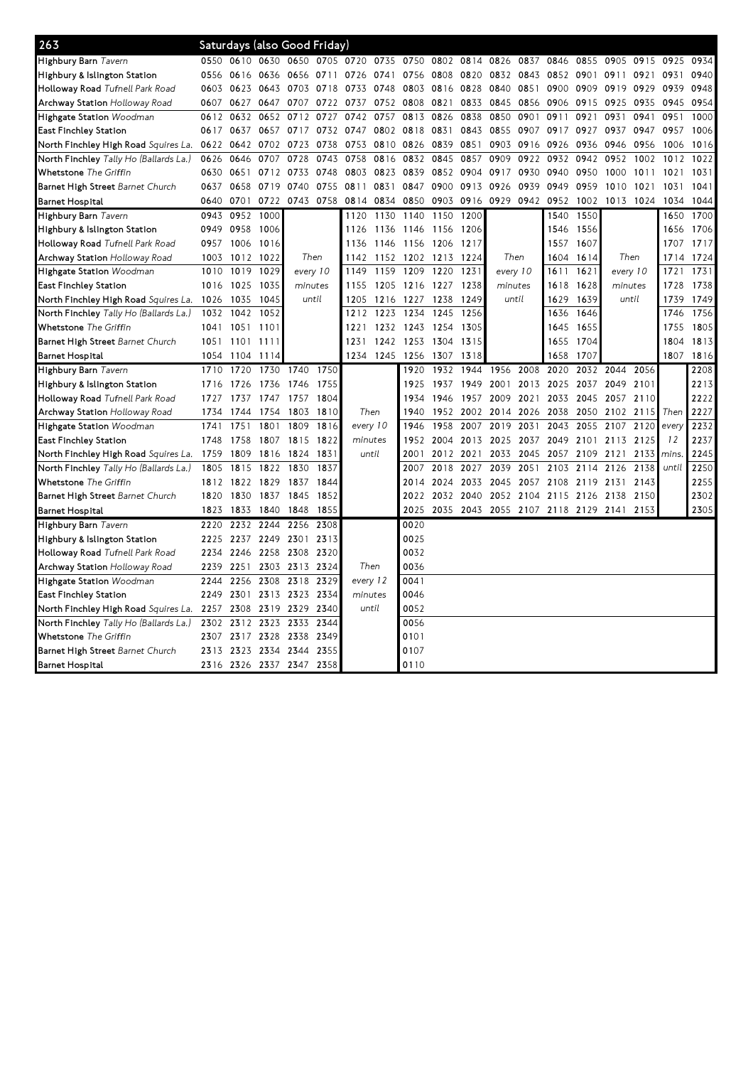| 263                                           | Saturdays (also Good Friday)<br>0610 0630 0650 0705 0720 0735 |      |                |                          |       |           |           |           |           |                |              |           |                          |      |           |           |       |      |
|-----------------------------------------------|---------------------------------------------------------------|------|----------------|--------------------------|-------|-----------|-----------|-----------|-----------|----------------|--------------|-----------|--------------------------|------|-----------|-----------|-------|------|
| Highbury Barn Tavern                          | 0550                                                          |      |                |                          |       |           |           | 0750      |           | 0802 0814 0826 |              | 0837      | 0846                     | 0855 | 0905      | 0915      | 0925  | 0934 |
| Highbury & Islington Station                  | 0556                                                          | 0616 | 0636           | 0656                     | 0711  | 0726      | 0741      |           | 0756 0808 | 0820           | 0832         | 0843      | 0852                     | 0901 | 0911      | 0921      | 0931  | 0940 |
| <b>Holloway Road</b> Tufnell Park Road        | 0603                                                          | 0623 |                | 0643 0703                | 0718  | 0733      | 0748      |           | 0803 0816 | 0828           | 0840         | 0851      | 0900                     | 0909 | 0919 0929 |           | 0939  | 0948 |
| Archway Station Holloway Road                 | 0607                                                          | 0627 | 0647           | 0707                     | 0722  | 0737      | 0752      | 0808      | 0821      | 0833           | 0845         | 0856      | 0906                     | 0915 | 0925      | 0935      | 0945  | 0954 |
| Highgate Station Woodman                      | 0612                                                          | 0632 | 0652           | 0712                     | 0727  | 0742      | 0757      |           | 0813 0826 | 0838           | 0850         | 0901      | 0911                     | 0921 | 0931      | 0941      | 0951  | 1000 |
| East Finchley Station                         | 0617                                                          | 0637 |                | 0657 0717                |       | 0732 0747 | 0802      | 0818      | 0831      | 0843           | 0855         | 0907      | 0917                     | 0927 | 0937      | 0947      | 0957  | 1006 |
| North Finchley High Road <i>Squires La.</i>   | 0622                                                          | 0642 | 0702           | 0723                     | 0738  | 0753      | 0810      | 0826      | 0839      | 0851           | 0903         | 0916      | 0926                     | 0936 | 0946      | 0956      | 1006  | 1016 |
| North Finchley <i>Tally Ho (Ballards La.)</i> | 0626                                                          | 0646 | 0707           | 0728                     | 0743  | 0758      | 0816      |           | 0832 0845 | 0857           | 0909         | 0922      | 0932                     | 0942 | 0952      | 1002      | 1012  | 1022 |
| Whetstone The Griffin                         | 0630                                                          | 0651 | 0712           | 0733                     | 0748  | 0803      | 0823      | 0839      | 0852      | 0904           | 0917         | 0930      | 0940                     | 0950 | 1000      | 1011      | 1021  | 1031 |
| Barnet High Street Barnet Church              | 0637                                                          | 0658 | 0719           | 0740                     | 0755  | 0811      | 0831      | 0847      | 0900      | 0913           | 0926         | 0939      | 0949                     | 0959 | 1010      | 1021      | 1031  | 1041 |
| Barnet Hospital                               | 0640                                                          | 0701 | 0722           | 0743 0758                |       | 0814      | 0834      | 0850      | 0903      | 0916           | 0929 0942    |           | 0952                     | 1002 | 1013 1024 |           | 1034  | 1044 |
| Highbury Barn Tavern                          | 0943                                                          | 0952 | 1000           |                          |       | 1120      | 1130      | 1140      | 1150      | 1200           |              |           | 1540                     | 1550 |           |           | 1650  | 1700 |
| Highbury & Islington Station                  | 0949                                                          | 0958 | 1006           |                          |       | 1126      | 1136      | 1146 1156 |           | 1206           |              |           | 1546                     | 1556 |           |           | 1656  | 1706 |
| Holloway Road Tufnell Park Road               | 0957                                                          | 1006 | 1016           |                          |       | 1136      | 1146      | 1156 1206 |           | 1217           |              |           | 1557                     | 1607 |           |           | 1707  | 1717 |
| Archway Station Holloway Road                 | 1003                                                          | 1012 | 1022           | Then                     |       | 1142      | 1152      |           | 1202 1213 | 1224           | Then         |           | 1604                     | 1614 | Then      |           | 1714  | 1724 |
| Highgate Station Woodman                      | 1010                                                          | 1019 | 1029           | every 10                 |       | 1149      | 1159      | 1209      | 1220      | 1231           | every 10     |           | 1611                     | 1621 | every 10  |           | 1721  | 1731 |
| East Finchley Station                         | 1016                                                          | 1025 | 1035           | minutes                  |       | 1155      | 1205      | 1216 1227 |           | 1238           | minutes      |           | 1618                     | 1628 | minutes   |           | 1728  | 1738 |
| North Finchley High Road <i>Squires La.</i>   | 1026                                                          | 1035 | 1045           |                          | until | 1205      | 1216      | 1227      | 1238      | 1249           | until        |           | 1629                     | 1639 | until     |           | 1739  | 1749 |
| North Finchley <i>Tally Ho (Ballards La.)</i> | 1032                                                          | 1042 | 1052           |                          |       | 1212      | 1223      | 1234      | 1245      | 1256           |              |           | 1636                     | 1646 |           |           | 1746  | 1756 |
| Whetstone The Griffin                         | 1041                                                          | 1051 | 1101           |                          |       | 1221      | 1232      | 1243 1254 |           | 1305           |              |           | 1645                     | 1655 |           |           | 1755  | 1805 |
| Barnet High Street Barnet Church              | 1051                                                          | 1101 | 1111           |                          |       | 1231      | 1242      |           | 1253 1304 | 1315           |              |           | 1655                     | 1704 |           |           | 1804  | 1813 |
| Barnet Hospital                               | 1054                                                          | 1104 | 1114           |                          |       |           | 1234 1245 | 1256 1307 |           | 1318           |              |           | 1658                     | 1707 |           |           | 1807  | 1816 |
| Highbury Barn Tavern                          | 1710                                                          | 1720 | 1730           | 1740                     | 1750  |           |           | 1920      | 1932      | 1944           | 1956         | 2008      | 2020                     | 2032 | 2044      | 2056      |       | 2208 |
| Highbury & Islington Station                  | 1716                                                          | 1726 | 1736           | 1746                     | 1755  |           |           | 1925      | 1937      | 1949           | 2001         | 2013      | 2025                     | 2037 | 2049      | 2101      |       | 2213 |
| Holloway Road Tufnell Park Road               | 1727                                                          | 1737 | 1747 1757      |                          | 1804  |           |           | 1934      | 1946      | 1957           | 2009         | 2021      | 2033                     | 2045 | 2057 2110 |           |       | 2222 |
| Archway Station Holloway Road                 | 1734                                                          | 1744 |                | 1754 1803                | 1810  | Then      |           | 1940      | 1952      | 2002           | 2014         | 2026      | 2038                     | 2050 |           | 2102 2115 | Then  | 2227 |
| Highgate Station Woodman                      | 1741                                                          | 1751 | 1801           | 1809                     | 1816  | every 10  |           | 1946      | 1958      | 2007           | 2019<br>2031 |           | 2043                     | 2055 | 2107      | 2120      | every | 2232 |
| East Finchley Station                         | 1748                                                          | 1758 |                | 1807 1815                | 1822  | minutes   |           | 1952      | 2004      | 2013           | 2025         | 2037      | 2049                     | 2101 | 2113 2125 |           | 12    | 2237 |
| North Finchley High Road Squires La.          | 1759                                                          | 1809 |                | 1816 1824                | 1831  | until     |           | 2001      |           | 2012 2021      | 2033         | 2045      | 2057                     | 2109 | 2121      | 2133 mins |       | 2245 |
| North Finchley <i>Tally Ho (Ballards La.)</i> | 1805                                                          | 1815 |                | 1822 1830                | 1837  |           |           | 2007      | 2018      | 2027           | 2039         | 2051      | 2103                     | 2114 | 2126      | 2138      | until | 2250 |
| Whetstone The Griffin                         | 1812                                                          |      | 1822 1829 1837 |                          | 1844  |           |           | 2014      | 2024      | 2033           | 2045         | 2057      | 2108                     | 2119 | 2131      | 2143      |       | 2255 |
| Barnet High Street Barnet Church              | 1820                                                          | 1830 | 1837           | 1845                     | 1852  |           |           | 2022      | 2032      | 2040           |              | 2052 2104 | 2115                     | 2126 | 2138      | 2150      |       | 2302 |
| <b>Barnet Hospital</b>                        | 1823                                                          | 1833 | 1840           | 1848                     | 1855  |           |           | 2025      | 2035      |                |              |           | 2043 2055 2107 2118 2129 |      | 2141      | 2153      |       | 2305 |
| Highbury Barn Tavern                          | 2220                                                          | 2232 | 2244           | 2256                     | 2308  |           |           | 0020      |           |                |              |           |                          |      |           |           |       |      |
| Highbury & Islington Station                  | 2225                                                          | 2237 | 2249 2301      |                          | 2313  |           |           | 0025      |           |                |              |           |                          |      |           |           |       |      |
| Holloway Road Tufnell Park Road               | 2234                                                          | 2246 | 2258 2308      |                          | 2320  |           |           | 0032      |           |                |              |           |                          |      |           |           |       |      |
| Archway Station Holloway Road                 | 2239                                                          | 2251 |                | 2303 2313                | 2324  | Then      |           | 0036      |           |                |              |           |                          |      |           |           |       |      |
| <b>Highgate Station</b> Woodman               | 2244                                                          | 2256 |                | 2308 2318                | 2329  | every 12  |           | 0041      |           |                |              |           |                          |      |           |           |       |      |
| East Finchley Station                         | 2249                                                          |      | 2301 2313 2323 |                          | 2334  | minutes   |           | 0046      |           |                |              |           |                          |      |           |           |       |      |
| North Finchley High Road Squires La.          | 2257                                                          | 2308 | 2319 2329      |                          | 2340  | until     |           | 0052      |           |                |              |           |                          |      |           |           |       |      |
| North Finchley Tally Ho (Ballards La.)        | 2302                                                          | 2312 |                | 2323 2333                | 2344  |           |           | 0056      |           |                |              |           |                          |      |           |           |       |      |
| Whetstone The Griffin                         | 2307                                                          |      | 2317 2328 2338 |                          | 2349  |           |           | 0101      |           |                |              |           |                          |      |           |           |       |      |
| Barnet High Street Barnet Church              | 2313                                                          | 2323 | 2334 2344      |                          | 2355  |           |           | 0107      |           |                |              |           |                          |      |           |           |       |      |
| <b>Barnet Hospital</b>                        |                                                               |      |                | 2316 2326 2337 2347 2358 |       |           |           | 0110      |           |                |              |           |                          |      |           |           |       |      |